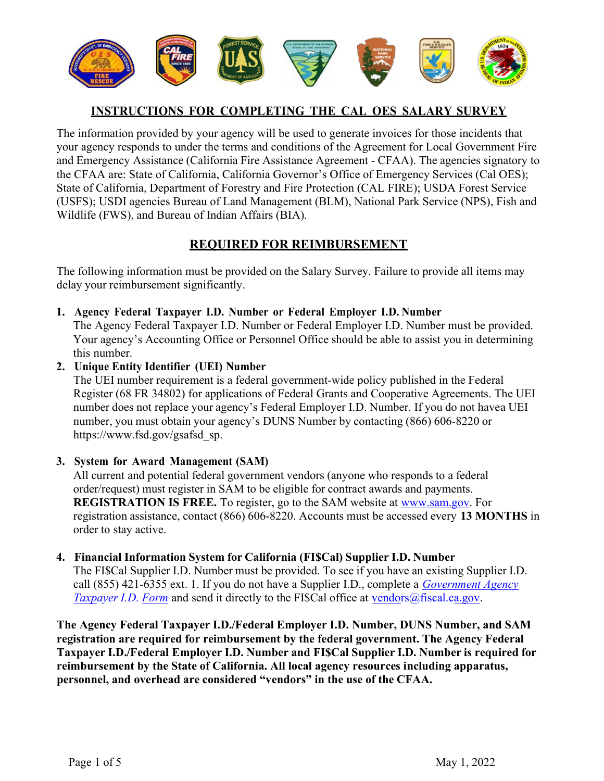

#### INSTRUCTIONS FOR COMPLETING THE CAL OES SALARY SURVEY

 The information provided by your agency will be used to generate invoices for those incidents that your agency responds to under the terms and conditions of the Agreement for Local Government Fire and Emergency Assistance (California Fire Assistance Agreement - CFAA). The agencies signatory to the CFAA are: State of California, California Governor's Office of Emergency Services (Cal OES); State of California, Department of Forestry and Fire Protection (CAL FIRE); USDA Forest Service (USFS); USDI agencies Bureau of Land Management (BLM), National Park Service (NPS), Fish and Wildlife (FWS), and Bureau of Indian Affairs (BIA).

## REQUIRED FOR REIMBURSEMENT

 The following information must be provided on the Salary Survey. Failure to provide all items may delay your reimbursement significantly.

1. Agency Federal Taxpayer I.D. Number or Federal Employer I.D. Number

 The Agency Federal Taxpayer I.D. Number or Federal Employer I.D. Number must be provided. Your agency's Accounting Office or Personnel Office should be able to assist you in determining this number.

#### 2. Unique Entity Identifier (UEI) Number

 The UEI number requirement is a federal government-wide policy published in the Federal Register (68 FR 34802) for applications of Federal Grants and Cooperative Agreements. The UEI number does not replace your agency's Federal Employer I.D. Number. If you do not havea UEI number, you must obtain your agency's DUNS Number by contacting (866) 606-8220 or [https://www.fsd.gov/gsafsd\\_sp.](https://www.fsd.gov/gsafsd_sp)

#### 3. System for Award Management (SAM)

 All current and potential federal government vendors (anyone who responds to a federal order/request) must register in SAM to be eligible for contract awards and payments. REGISTRATION IS FREE. To register, go to the SAM website at <www.sam.gov>. For registration assistance, contact (866) 606-8220. Accounts must be accessed every 13 MONTHS in order to stay active.

#### 4. Financial Information System for California (FI\$Cal) Supplier I.D. Number

 The FI\$Cal Supplier I.D. Number must be provided. To see if you have an existing Supplier I.D. call (855) 421-6355 ext. 1. If you do not have a Supplier I.D., complete a *Government Agency* Taxpayer I.D. Form and send it directly to the FI\$Cal office at [vendors@fiscal.ca.gov](mailto:vendors@fiscal.ca.gov).

 The Agency Federal Taxpayer I.D./Federal Employer I.D. Number, DUNS Number, and SAM registration are required for reimbursement by the federal government. The Agency Federal Taxpayer I.D./Federal Employer I.D. Number and FI\$Cal Supplier I.D. Number is required for reimbursement by the State of California. All local agency resources including apparatus, personnel, and overhead are considered "vendors" in the use of the CFAA.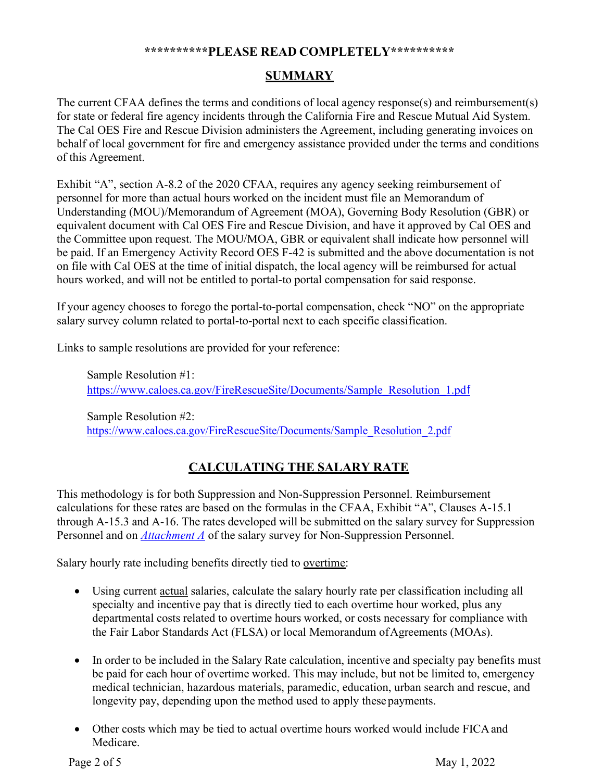#### \*\*\*\*\*\*\*\*\*\*PLEASE READ COMPLETELY\*\*\*\*\*\*\*\*\*\*

## **SUMMARY**

 The current CFAA defines the terms and conditions of local agency response(s) and reimbursement(s) for state or federal fire agency incidents through the California Fire and Rescue Mutual Aid System. The Cal OES Fire and Rescue Division administers the Agreement, including generating invoices on behalf of local government for fire and emergency assistance provided under the terms and conditions of this Agreement.

 Exhibit "A", section A-8.2 of the 2020 CFAA, requires any agency seeking reimbursement of personnel for more than actual hours worked on the incident must file an Memorandum of Understanding (MOU)/Memorandum of Agreement (MOA), Governing Body Resolution (GBR) or equivalent document with Cal OES Fire and Rescue Division, and have it approved by Cal OES and the Committee upon request. The MOU/MOA, GBR or equivalent shall indicate how personnel will be paid. If an Emergency Activity Record OES F-42 is submitted and the above documentation is not on file with Cal OES at the time of initial dispatch, the local agency will be reimbursed for actual hours worked, and will not be entitled to portal-to portal compensation for said response.

 If your agency chooses to forego the portal-to-portal compensation, check "NO" on the appropriate salary survey column related to portal-to-portal next to each specific classification.

Links to sample resolutions are provided for your reference:

 Sample Resolution #1: [https://www.caloes.ca.gov/FireRescueSite/Documents/Sample\\_Resolution\\_1.pd](https://www.caloes.ca.gov/FireRescueSite/Documents/Sample_Resolution_1.pdf)f

 Sample Resolution #2: [https://www.caloes.ca.gov/FireRescueSite/Documents/Sample\\_Resolution\\_2.pdf](https://www.caloes.ca.gov/FireRescueSite/Documents/Sample_Resolution_2.pdf)

## CALCULATING THE SALARY RATE

 This methodology is for both Suppression and Non-Suppression Personnel. Reimbursement calculations for these rates are based on the formulas in the CFAA, Exhibit "A", Clauses A-15.1 through A-15.3 and A-16. The rates developed will be submitted on the salary survey for Suppression Personnel and on *Attachment A* of the salary survey for Non-Suppression Personnel.

Salary hourly rate including benefits directly tied to overtime:

- Using current actual salaries, calculate the salary hourly rate per classification including all specialty and incentive pay that is directly tied to each overtime hour worked, plus any departmental costs related to overtime hours worked, or costs necessary for compliance with the Fair Labor Standards Act (FLSA) or local Memorandum of Agreements (MOAs).
- In order to be included in the Salary Rate calculation, incentive and specialty pay benefits must be paid for each hour of overtime worked. This may include, but not be limited to, emergency medical technician, hazardous materials, paramedic, education, urban search and rescue, and longevity pay, depending upon the method used to apply these payments.
- Other costs which may be tied to actual overtime hours worked would include FICAand Medicare.

Page 2 of 5

May 1, 2022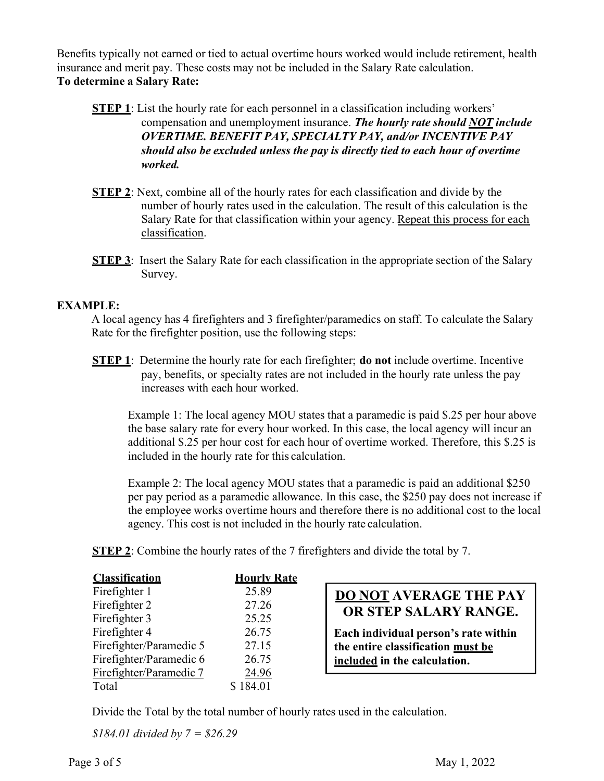Benefits typically not earned or tied to actual overtime hours worked would include retirement, health insurance and merit pay. These costs may not be included in the Salary Rate calculation. To determine a Salary Rate:

- **STEP 1:** List the hourly rate for each personnel in a classification including workers' compensation and unemployment insurance. The hourly rate should NOT include OVERTIME. BENEFIT PAY, SPECIALTY PAY, and/or INCENTIVE PAY should also be excluded unless the pay is directly tied to each hour of overtime worked.
- **STEP 2:** Next, combine all of the hourly rates for each classification and divide by the number of hourly rates used in the calculation. The result of this calculation is the Salary Rate for that classification within your agency. Repeat this process for each classification.
- **STEP 3:** Insert the Salary Rate for each classification in the appropriate section of the Salary Survey.

#### EXAMPLE:

 A local agency has 4 firefighters and 3 firefighter/paramedics on staff. To calculate the Salary Rate for the firefighter position, use the following steps:

**STEP 1:** Determine the hourly rate for each firefighter; **do not** include overtime. Incentive pay, benefits, or specialty rates are not included in the hourly rate unless the pay increases with each hour worked.

 Example 1: The local agency MOU states that a paramedic is paid \$.25 per hour above the base salary rate for every hour worked. In this case, the local agency will incur an additional \$.25 per hour cost for each hour of overtime worked. Therefore, this \$.25 is included in the hourly rate for this calculation.

 Example 2: The local agency MOU states that a paramedic is paid an additional \$250 per pay period as a paramedic allowance. In this case, the \$250 pay does not increase if the employee works overtime hours and therefore there is no additional cost to the local agency. This cost is not included in the hourly rate calculation.

**STEP 2:** Combine the hourly rates of the 7 firefighters and divide the total by 7.

| <b>Classification</b>   | <b>Hourly Rate</b> |                                      |
|-------------------------|--------------------|--------------------------------------|
| Firefighter 1           | 25.89              | <b>DO NOT AVERAGE THE PAY</b>        |
| Firefighter 2           | 27.26              | OR STEP SALARY RANGE.                |
| Firefighter 3           | 25.25              |                                      |
| Firefighter 4           | 26.75              | Each individual person's rate within |
| Firefighter/Paramedic 5 | 27.15              | the entire classification must be    |
| Firefighter/Paramedic 6 | 26.75              | included in the calculation.         |
| Firefighter/Paramedic 7 | 24.96              |                                      |
| Total                   | 184.01             |                                      |

Divide the Total by the total number of hourly rates used in the calculation.

 $$184.01$  divided by  $7 = $26.29$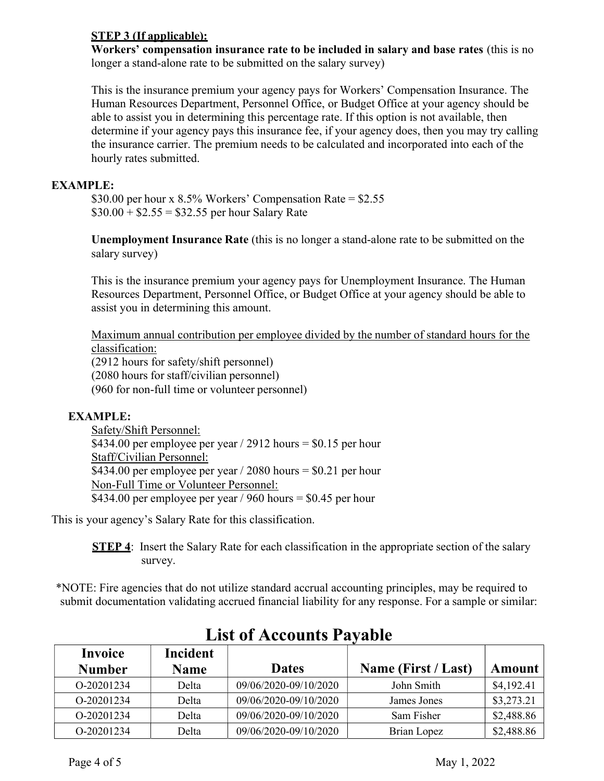#### STEP 3 (If applicable):

 Workers' compensation insurance rate to be included in salary and base rates (this is no longer a stand-alone rate to be submitted on the salary survey)

 This is the insurance premium your agency pays for Workers' Compensation Insurance. The Human Resources Department, Personnel Office, or Budget Office at your agency should be able to assist you in determining this percentage rate. If this option is not available, then determine if your agency pays this insurance fee, if your agency does, then you may try calling the insurance carrier. The premium needs to be calculated and incorporated into each of the hourly rates submitted.

#### EXAMPLE:

 \$30.00 per hour x 8.5% Workers' Compensation Rate = \$2.55  $$30.00 + $2.55 = $32.55$  per hour Salary Rate

 Unemployment Insurance Rate (this is no longer a stand-alone rate to be submitted on the salary survey)

 This is the insurance premium your agency pays for Unemployment Insurance. The Human Resources Department, Personnel Office, or Budget Office at your agency should be able to assist you in determining this amount.

 Maximum annual contribution per employee divided by the number of standard hours for the classification:

 (2912 hours for safety/shift personnel) (2080 hours for staff/civilian personnel) (960 for non-full time or volunteer personnel)

#### EXAMPLE:

 Safety/Shift Personnel: \$434.00 per employee per year / 2912 hours = \$0.15 per hour Staff/Civilian Personnel: Non-Full Time or Volunteer Personnel: \$434.00 per employee per year / 2080 hours = \$0.21 per hour \$434.00 per employee per year / 960 hours =  $$0.45$  per hour

This is your agency's Salary Rate for this classification.

**STEP 4:** Insert the Salary Rate for each classification in the appropriate section of the salary survey.

 \*NOTE: Fire agencies that do not utilize standard accrual accounting principles, may be required to submit documentation validating accrued financial liability for any response. For a sample or similar:

| Invoice       | <b>Incident</b> |                       |                     |            |
|---------------|-----------------|-----------------------|---------------------|------------|
| <b>Number</b> | <b>Name</b>     | <b>Dates</b>          | Name (First / Last) | Amount     |
| O-20201234    | Delta           | 09/06/2020-09/10/2020 | John Smith          | \$4,192.41 |
| O-20201234    | Delta           | 09/06/2020-09/10/2020 | James Jones         | \$3,273.21 |
| O-20201234    | Delta           | 09/06/2020-09/10/2020 | Sam Fisher          | \$2,488.86 |
| O-20201234    | Delta           | 09/06/2020-09/10/2020 | Brian Lopez         | \$2,488.86 |

# List of Accounts Payable